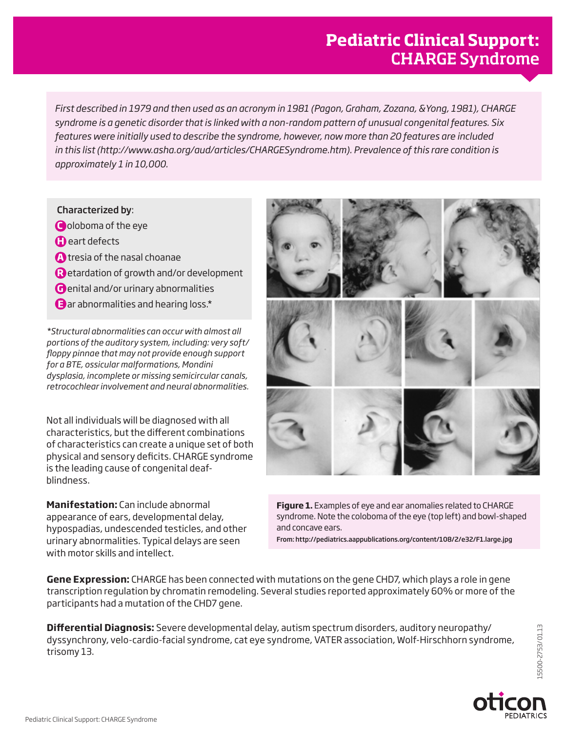## **Pediatric Clinical Support:**  CHARGE Syndrome

*First described in 1979 and then used as an acronym in 1981 (Pagon, Graham, Zozana, &Yong, 1981), CHARGE syndrome is a genetic disorder that is linked with a non-random pattern of unusual congenital features. Six features were initially used to describe the syndrome, however, now more than 20 features are included in this list (http://www.asha.org/aud/articles/CHARGESyndrome.htm). Prevalence of this rare condition is approximately 1 in 10,000.*

## Characterized by:

- **C** oloboma of the eye
- **C** eart defects
- **A** tresia of the nasal choanae
- **R** etardation of growth and/or development
- **G** enital and/or urinary abnormalities
- **E** ar abnormalities and hearing loss.\*

*\*Structural abnormalities can occur with almost all portions of the auditory system, including: very soft/ floppy pinnae that may not provide enough support for a BTE, ossicular malformations, Mondini dysplasia, incomplete or missing semicircular canals, retrocochlear involvement and neural abnormalities.* 

Not all individuals will be diagnosed with all characteristics, but the different combinations of characteristics can create a unique set of both physical and sensory deficits. CHARGE syndrome is the leading cause of congenital deafblindness.

**Manifestation:** Can include abnormal appearance of ears, developmental delay, hypospadias, undescended testicles, and other urinary abnormalities. Typical delays are seen with motor skills and intellect.



**Figure 1.** Examples of eye and ear anomalies related to CHARGE syndrome. Note the coloboma of the eye (top left) and bowl-shaped and concave ears.

From: http://pediatrics.aappublications.org/content/108/2/e32/F1.large.jpg

**Gene Expression:** CHARGE has been connected with mutations on the gene CHD7, which plays a role in gene transcription regulation by chromatin remodeling. Several studies reported approximately 60% or more of the participants had a mutation of the CHD7 gene.

**Differential Diagnosis:** Severe developmental delay, autism spectrum disorders, auditory neuropathy/ dyssynchrony, velo-cardio-facial syndrome, cat eye syndrome, VATER association, Wolf-Hirschhorn syndrome, trisomy 13.